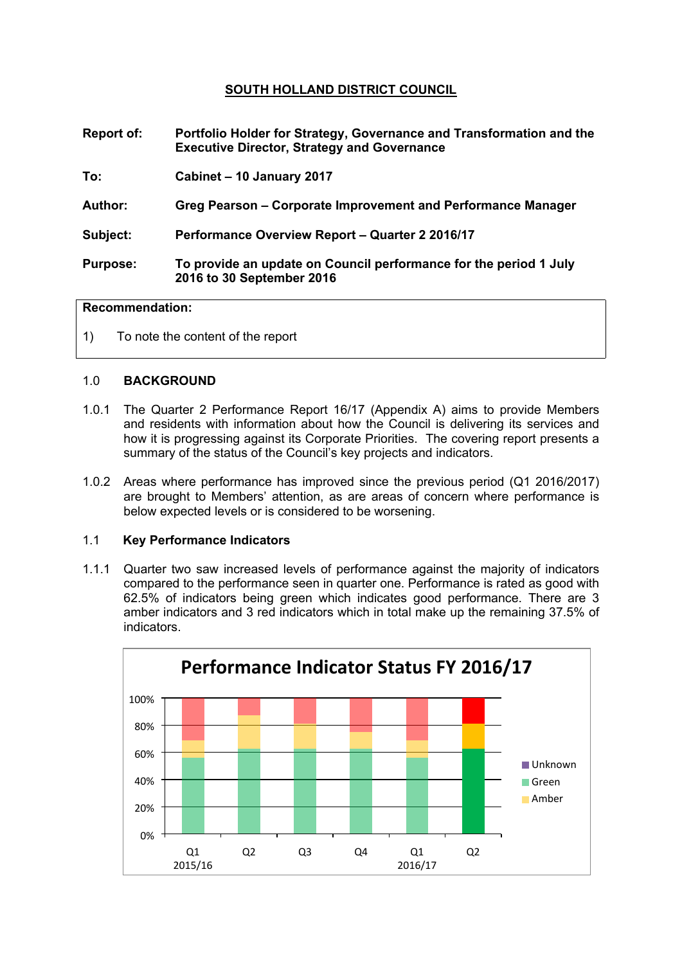# **SOUTH HOLLAND DISTRICT COUNCIL**

- **Report of: Portfolio Holder for Strategy, Governance and Transformation and the Executive Director, Strategy and Governance**
- **To: Cabinet – 10 January 2017**
- **Author: Greg Pearson – Corporate Improvement and Performance Manager**
- **Subject: Performance Overview Report – Quarter 2 2016/17**
- **Purpose: To provide an update on Council performance for the period 1 July 2016 to 30 September 2016**

## **Recommendation:**

1) To note the content of the report

### 1.0 **BACKGROUND**

- 1.0.1 The Quarter 2 Performance Report 16/17 (Appendix A) aims to provide Members and residents with information about how the Council is delivering its services and how it is progressing against its Corporate Priorities. The covering report presents a summary of the status of the Council's key projects and indicators.
- 1.0.2 Areas where performance has improved since the previous period (Q1 2016/2017) are brought to Members' attention, as are areas of concern where performance is below expected levels or is considered to be worsening.

### 1.1 **Key Performance Indicators**

1.1.1 Quarter two saw increased levels of performance against the majority of indicators compared to the performance seen in quarter one. Performance is rated as good with 62.5% of indicators being green which indicates good performance. There are 3 amber indicators and 3 red indicators which in total make up the remaining 37.5% of indicators.

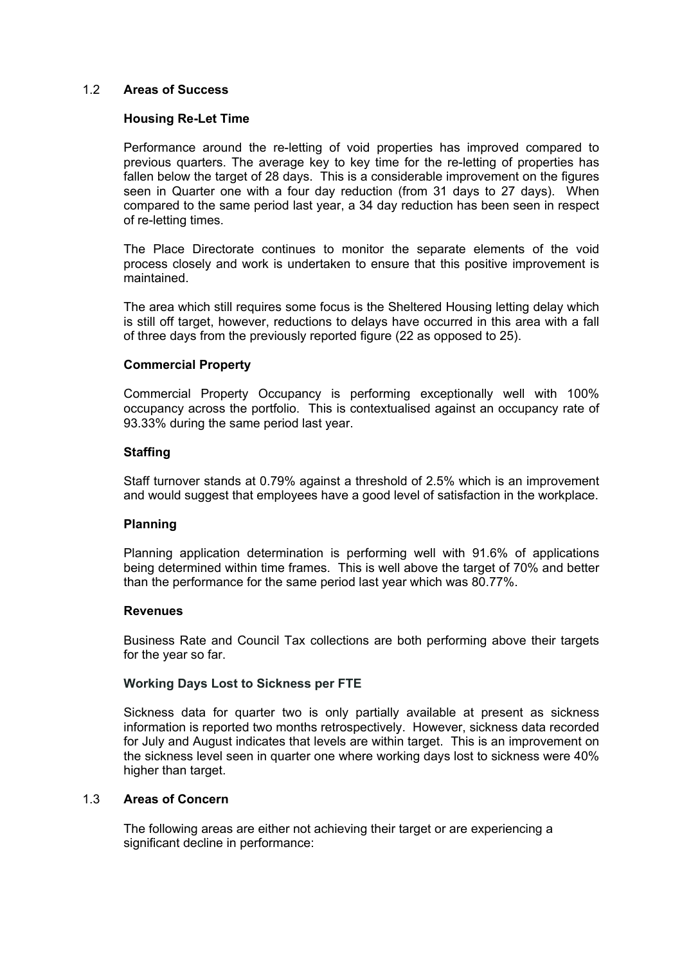## 1.2 **Areas of Success**

### **Housing Re-Let Time**

Performance around the re-letting of void properties has improved compared to previous quarters. The average key to key time for the re-letting of properties has fallen below the target of 28 days. This is a considerable improvement on the figures seen in Quarter one with a four day reduction (from 31 days to 27 days). When compared to the same period last year, a 34 day reduction has been seen in respect of re-letting times.

The Place Directorate continues to monitor the separate elements of the void process closely and work is undertaken to ensure that this positive improvement is maintained.

The area which still requires some focus is the Sheltered Housing letting delay which is still off target, however, reductions to delays have occurred in this area with a fall of three days from the previously reported figure (22 as opposed to 25).

## **Commercial Property**

Commercial Property Occupancy is performing exceptionally well with 100% occupancy across the portfolio. This is contextualised against an occupancy rate of 93.33% during the same period last year.

## **Staffing**

Staff turnover stands at 0.79% against a threshold of 2.5% which is an improvement and would suggest that employees have a good level of satisfaction in the workplace.

### **Planning**

Planning application determination is performing well with 91.6% of applications being determined within time frames. This is well above the target of 70% and better than the performance for the same period last year which was 80.77%.

### **Revenues**

Business Rate and Council Tax collections are both performing above their targets for the year so far.

### **Working Days Lost to Sickness per FTE**

Sickness data for quarter two is only partially available at present as sickness information is reported two months retrospectively. However, sickness data recorded for July and August indicates that levels are within target. This is an improvement on the sickness level seen in quarter one where working days lost to sickness were 40% higher than target.

### 1.3 **Areas of Concern**

The following areas are either not achieving their target or are experiencing a significant decline in performance: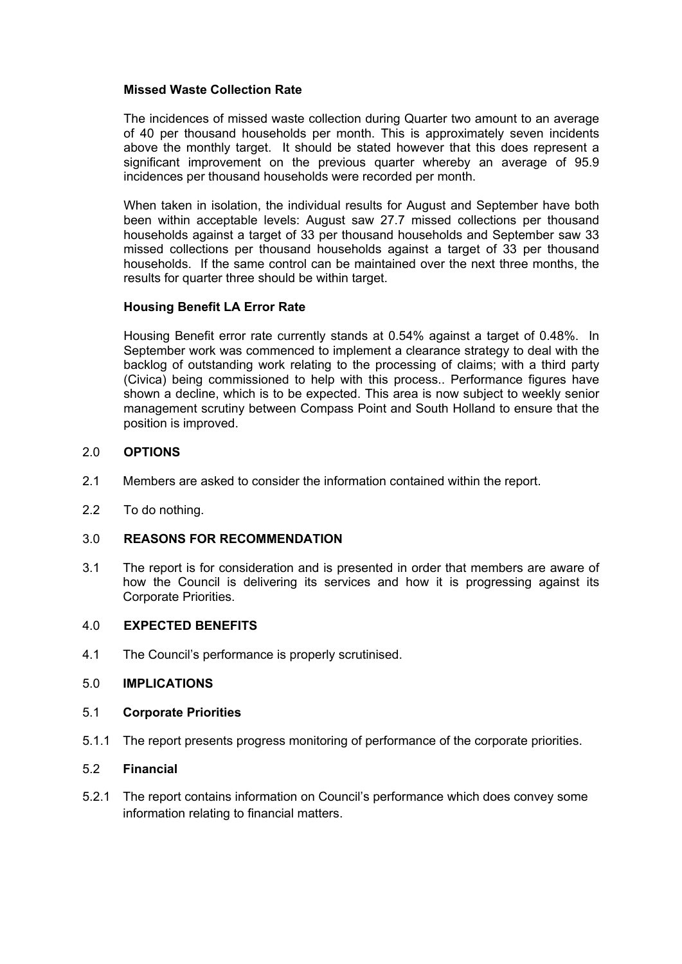## **Missed Waste Collection Rate**

The incidences of missed waste collection during Quarter two amount to an average of 40 per thousand households per month. This is approximately seven incidents above the monthly target. It should be stated however that this does represent a significant improvement on the previous quarter whereby an average of 95.9 incidences per thousand households were recorded per month.

When taken in isolation, the individual results for August and September have both been within acceptable levels: August saw 27.7 missed collections per thousand households against a target of 33 per thousand households and September saw 33 missed collections per thousand households against a target of 33 per thousand households. If the same control can be maintained over the next three months, the results for quarter three should be within target.

## **Housing Benefit LA Error Rate**

Housing Benefit error rate currently stands at 0.54% against a target of 0.48%. In September work was commenced to implement a clearance strategy to deal with the backlog of outstanding work relating to the processing of claims; with a third party (Civica) being commissioned to help with this process.. Performance figures have shown a decline, which is to be expected. This area is now subject to weekly senior management scrutiny between Compass Point and South Holland to ensure that the position is improved.

## 2.0 **OPTIONS**

- 2.1 Members are asked to consider the information contained within the report.
- 2.2 To do nothing.

## 3.0 **REASONS FOR RECOMMENDATION**

3.1 The report is for consideration and is presented in order that members are aware of how the Council is delivering its services and how it is progressing against its Corporate Priorities.

## 4.0 **EXPECTED BENEFITS**

4.1 The Council's performance is properly scrutinised.

### 5.0 **IMPLICATIONS**

### 5.1 **Corporate Priorities**

5.1.1 The report presents progress monitoring of performance of the corporate priorities.

### 5.2 **Financial**

5.2.1 The report contains information on Council's performance which does convey some information relating to financial matters.